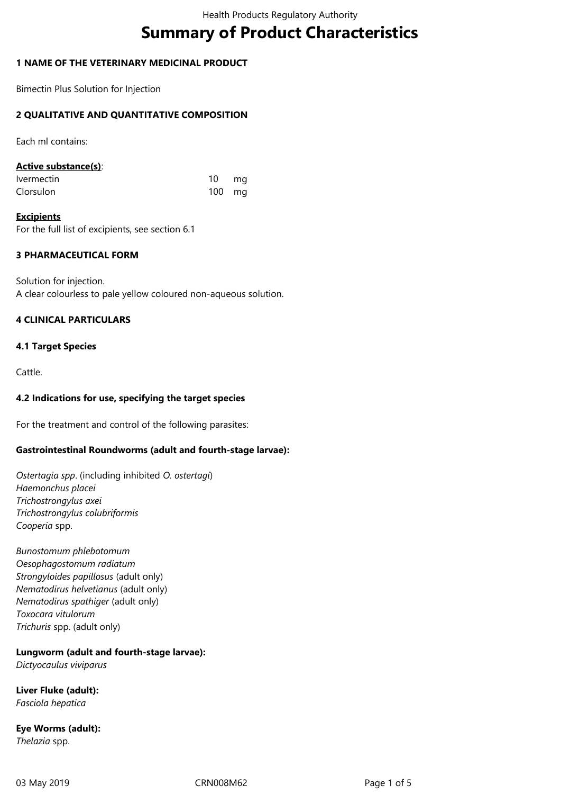# **Summary of Product Characteristics**

# **1 NAME OF THE VETERINARY MEDICINAL PRODUCT**

Bimectin Plus Solution for Injection

# **2 QUALITATIVE AND QUANTITATIVE COMPOSITION**

Each ml contains:

## **Active substance(s)**:

| <i><u><b>Ivermectin</b></u></i> | 10       | mq |
|---------------------------------|----------|----|
| Clorsulon                       | $100$ mg |    |

**Excipients** For the full list of excipients, see section 6.1

# **3 PHARMACEUTICAL FORM**

Solution for injection. A clear colourless to pale yellow coloured non-aqueous solution.

# **4 CLINICAL PARTICULARS**

## **4.1 Target Species**

Cattle.

# **4.2 Indications for use, specifying the target species**

For the treatment and control of the following parasites:

# **Gastrointestinal Roundworms (adult and fourth-stage larvae):**

*Ostertagia spp*. (including inhibited *O. ostertagi*) *Haemonchus placei Trichostrongylus axei Trichostrongylus colubriformis Cooperia* spp.

*Bunostomum phlebotomum Oesophagostomum radiatum Strongyloides papillosus* (adult only) *Nematodirus helvetianus* (adult only) *Nematodirus spathiger* (adult only) *Toxocara vitulorum Trichuris* spp. (adult only)

# **Lungworm (adult and fourth-stage larvae):**

*Dictyocaulus viviparus* 

**Liver Fluke (adult):** *Fasciola hepatica*

**Eye Worms (adult):** *Thelazia* spp.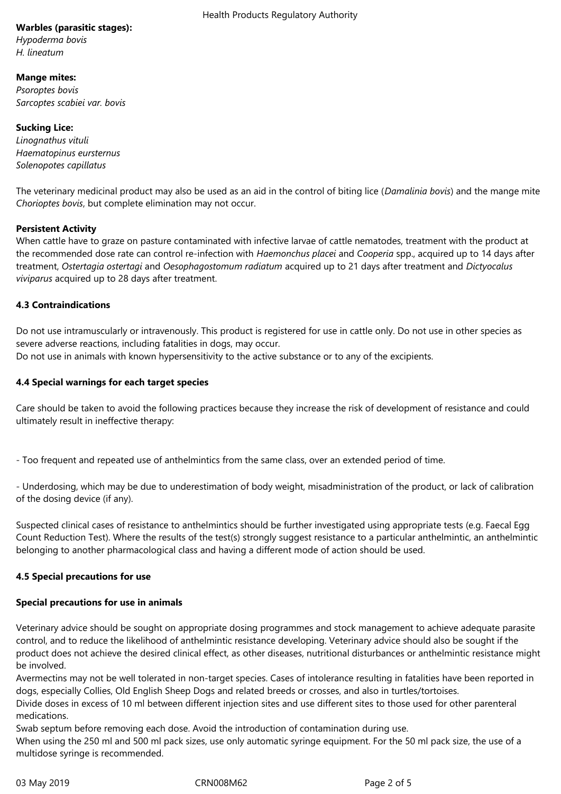# **Warbles (parasitic stages):**

*Hypoderma bovis H. lineatum*

## **Mange mites:**

*Psoroptes bovis Sarcoptes scabiei var. bovis* 

**Sucking Lice:** *Linognathus vituli Haematopinus eursternus Solenopotes capillatus* 

The veterinary medicinal product may also be used as an aid in the control of biting lice (*Damalinia bovis*) and the mange mite *Chorioptes bovis*, but complete elimination may not occur.

# **Persistent Activity**

When cattle have to graze on pasture contaminated with infective larvae of cattle nematodes, treatment with the product at the recommended dose rate can control re-infection with *Haemonchus placei* and *Cooperia* spp., acquired up to 14 days after treatment, *Ostertagia ostertagi* and *Oesophagostomum radiatum* acquired up to 21 days after treatment and *Dictyocalus viviparus* acquired up to 28 days after treatment.

## **4.3 Contraindications**

Do not use intramuscularly or intravenously. This product is registered for use in cattle only. Do not use in other species as severe adverse reactions, including fatalities in dogs, may occur.

Do not use in animals with known hypersensitivity to the active substance or to any of the excipients.

## **4.4 Special warnings for each target species**

Care should be taken to avoid the following practices because they increase the risk of development of resistance and could ultimately result in ineffective therapy:

- Too frequent and repeated use of anthelmintics from the same class, over an extended period of time.

- Underdosing, which may be due to underestimation of body weight, misadministration of the product, or lack of calibration of the dosing device (if any).

Suspected clinical cases of resistance to anthelmintics should be further investigated using appropriate tests (e.g. Faecal Egg Count Reduction Test). Where the results of the test(s) strongly suggest resistance to a particular anthelmintic, an anthelmintic belonging to another pharmacological class and having a different mode of action should be used.

#### **4.5 Special precautions for use**

#### **Special precautions for use in animals**

Veterinary advice should be sought on appropriate dosing programmes and stock management to achieve adequate parasite control, and to reduce the likelihood of anthelmintic resistance developing. Veterinary advice should also be sought if the product does not achieve the desired clinical effect, as other diseases, nutritional disturbances or anthelmintic resistance might be involved.

Avermectins may not be well tolerated in non-target species. Cases of intolerance resulting in fatalities have been reported in dogs, especially Collies, Old English Sheep Dogs and related breeds or crosses, and also in turtles/tortoises.

Divide doses in excess of 10 ml between different injection sites and use different sites to those used for other parenteral medications.

Swab septum before removing each dose. Avoid the introduction of contamination during use. When using the 250 ml and 500 ml pack sizes, use only automatic syringe equipment. For the 50 ml pack size, the use of a multidose syringe is recommended.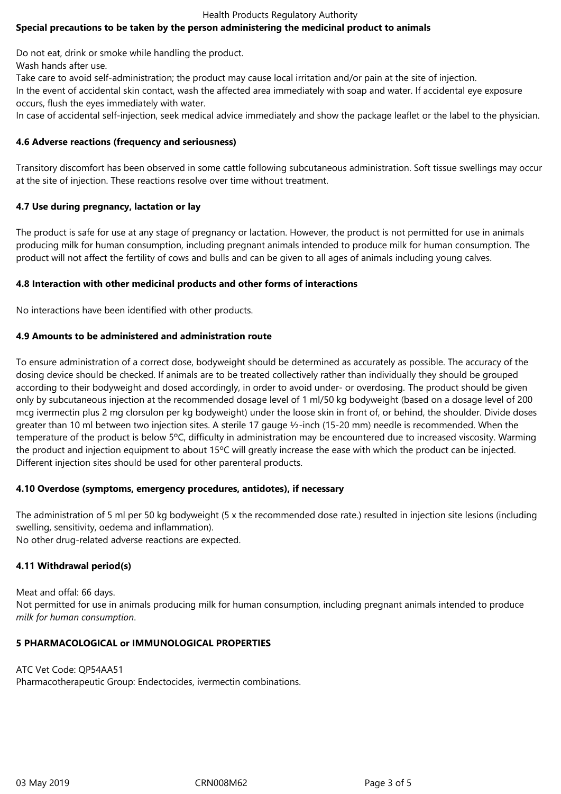#### Health Products Regulatory Authority

# **Special precautions to be taken by the person administering the medicinal product to animals**

Do not eat, drink or smoke while handling the product.

Wash hands after use.

Take care to avoid self-administration; the product may cause local irritation and/or pain at the site of injection.

In the event of accidental skin contact, wash the affected area immediately with soap and water. If accidental eye exposure occurs, flush the eyes immediately with water.

In case of accidental self-injection, seek medical advice immediately and show the package leaflet or the label to the physician.

#### **4.6 Adverse reactions (frequency and seriousness)**

Transitory discomfort has been observed in some cattle following subcutaneous administration. Soft tissue swellings may occur at the site of injection. These reactions resolve over time without treatment.

#### **4.7 Use during pregnancy, lactation or lay**

The product is safe for use at any stage of pregnancy or lactation. However, the product is not permitted for use in animals producing milk for human consumption, including pregnant animals intended to produce milk for human consumption. The product will not affect the fertility of cows and bulls and can be given to all ages of animals including young calves.

#### **4.8 Interaction with other medicinal products and other forms of interactions**

No interactions have been identified with other products.

#### **4.9 Amounts to be administered and administration route**

To ensure administration of a correct dose, bodyweight should be determined as accurately as possible. The accuracy of the dosing device should be checked. If animals are to be treated collectively rather than individually they should be grouped according to their bodyweight and dosed accordingly, in order to avoid under- or overdosing. The product should be given only by subcutaneous injection at the recommended dosage level of 1 ml/50 kg bodyweight (based on a dosage level of 200 mcg ivermectin plus 2 mg clorsulon per kg bodyweight) under the loose skin in front of, or behind, the shoulder. Divide doses greater than 10 ml between two injection sites. A sterile 17 gauge ½-inch (15-20 mm) needle is recommended. When the temperature of the product is below 5ºC, difficulty in administration may be encountered due to increased viscosity. Warming the product and injection equipment to about 15ºC will greatly increase the ease with which the product can be injected. Different injection sites should be used for other parenteral products.

#### **4.10 Overdose (symptoms, emergency procedures, antidotes), if necessary**

The administration of 5 ml per 50 kg bodyweight (5 x the recommended dose rate.) resulted in injection site lesions (including swelling, sensitivity, oedema and inflammation). No other drug-related adverse reactions are expected.

#### **4.11 Withdrawal period(s)**

Meat and offal: 66 days. Not permitted for use in animals producing milk for human consumption, including pregnant animals intended to produce *milk for human consumption*.

#### **5 PHARMACOLOGICAL or IMMUNOLOGICAL PROPERTIES**

# ATC Vet Code: QP54AA51 Pharmacotherapeutic Group: Endectocides, ivermectin combinations.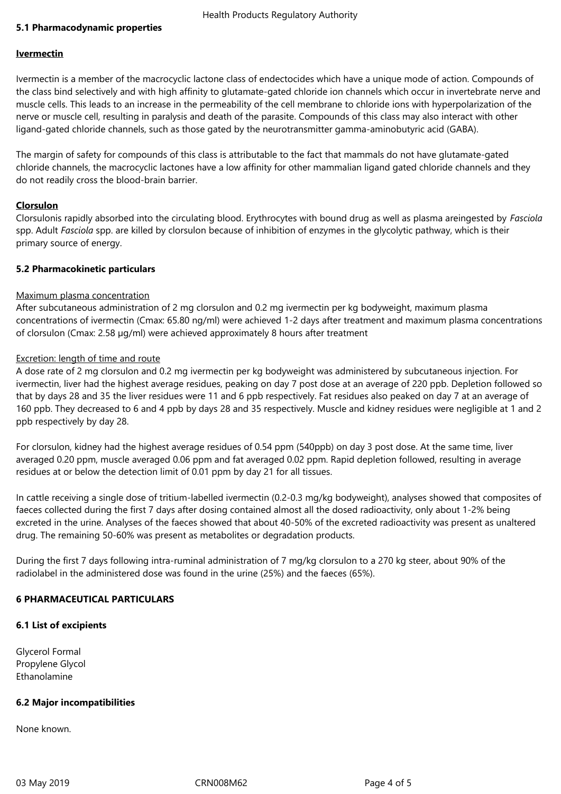## **5.1 Pharmacodynamic properties**

#### **Ivermectin**

Ivermectin is a member of the macrocyclic lactone class of endectocides which have a unique mode of action. Compounds of the class bind selectively and with high affinity to glutamate-gated chloride ion channels which occur in invertebrate nerve and muscle cells. This leads to an increase in the permeability of the cell membrane to chloride ions with hyperpolarization of the nerve or muscle cell, resulting in paralysis and death of the parasite. Compounds of this class may also interact with other ligand-gated chloride channels, such as those gated by the neurotransmitter gamma-aminobutyric acid (GABA).

The margin of safety for compounds of this class is attributable to the fact that mammals do not have glutamate-gated chloride channels, the macrocyclic lactones have a low affinity for other mammalian ligand gated chloride channels and they do not readily cross the blood-brain barrier.

## **Clorsulon**

Clorsulonis rapidly absorbed into the circulating blood. Erythrocytes with bound drug as well as plasma areingested by *Fasciola* spp. Adult *Fasciola* spp. are killed by clorsulon because of inhibition of enzymes in the glycolytic pathway, which is their primary source of energy.

## **5.2 Pharmacokinetic particulars**

## Maximum plasma concentration

After subcutaneous administration of 2 mg clorsulon and 0.2 mg ivermectin per kg bodyweight, maximum plasma concentrations of ivermectin (Cmax: 65.80 ng/ml) were achieved 1-2 days after treatment and maximum plasma concentrations of clorsulon (Cmax: 2.58 µg/ml) were achieved approximately 8 hours after treatment

## Excretion: length of time and route

A dose rate of 2 mg clorsulon and 0.2 mg ivermectin per kg bodyweight was administered by subcutaneous injection. For ivermectin, liver had the highest average residues, peaking on day 7 post dose at an average of 220 ppb. Depletion followed so that by days 28 and 35 the liver residues were 11 and 6 ppb respectively. Fat residues also peaked on day 7 at an average of 160 ppb. They decreased to 6 and 4 ppb by days 28 and 35 respectively. Muscle and kidney residues were negligible at 1 and 2 ppb respectively by day 28.

For clorsulon, kidney had the highest average residues of 0.54 ppm (540ppb) on day 3 post dose. At the same time, liver averaged 0.20 ppm, muscle averaged 0.06 ppm and fat averaged 0.02 ppm. Rapid depletion followed, resulting in average residues at or below the detection limit of 0.01 ppm by day 21 for all tissues.

In cattle receiving a single dose of tritium-labelled ivermectin (0.2-0.3 mg/kg bodyweight), analyses showed that composites of faeces collected during the first 7 days after dosing contained almost all the dosed radioactivity, only about 1-2% being excreted in the urine. Analyses of the faeces showed that about 40-50% of the excreted radioactivity was present as unaltered drug. The remaining 50-60% was present as metabolites or degradation products.

During the first 7 days following intra-ruminal administration of 7 mg/kg clorsulon to a 270 kg steer, about 90% of the radiolabel in the administered dose was found in the urine (25%) and the faeces (65%).

# **6 PHARMACEUTICAL PARTICULARS**

#### **6.1 List of excipients**

Glycerol Formal Propylene Glycol Ethanolamine

#### **6.2 Major incompatibilities**

None known.